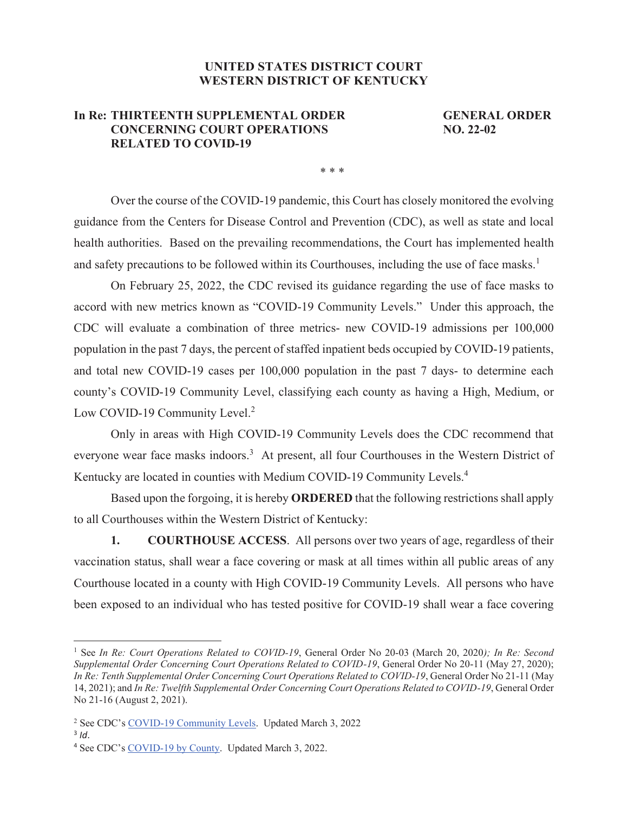## **UNITED STATES DISTRICT COURT WESTERN DISTRICT OF KENTUCKY**

## **In Re: THIRTEENTH SUPPLEMENTAL ORDER GENERAL ORDER CONCERNING COURT OPERATIONS NO. 22-02 RELATED TO COVID-19**

\* \* \*

Over the course of the COVID-19 pandemic, this Court has closely monitored the evolving guidance from the Centers for Disease Control and Prevention (CDC), as well as state and local health authorities. Based on the prevailing recommendations, the Court has implemented health and safety precautions to be followed within its Courthouses, including the use of face masks.<sup>1</sup>

On February 25, 2022, the CDC revised its guidance regarding the use of face masks to accord with new metrics known as "COVID-19 Community Levels." Under this approach, the CDC will evaluate a combination of three metrics- new COVID-19 admissions per 100,000 population in the past 7 days, the percent of staffed inpatient beds occupied by COVID-19 patients, and total new COVID-19 cases per 100,000 population in the past 7 days- to determine each county's COVID-19 Community Level, classifying each county as having a High, Medium, or Low COVID-19 Community Level.<sup>2</sup>

Only in areas with High COVID-19 Community Levels does the CDC recommend that everyone wear face masks indoors.<sup>3</sup> At present, all four Courthouses in the Western District of Kentucky are located in counties with Medium COVID-19 Community Levels.<sup>4</sup>

Based upon the forgoing, it is hereby **ORDERED** that the following restrictions shall apply to all Courthouses within the Western District of Kentucky:

**1. COURTHOUSE ACCESS**. All persons over two years of age, regardless of their vaccination status, shall wear a face covering or mask at all times within all public areas of any Courthouse located in a county with High COVID-19 Community Levels. All persons who have been exposed to an individual who has tested positive for COVID-19 shall wear a face covering

<sup>&</sup>lt;sup>1</sup> See *In Re: Court Operations Related to COVID-19*, General Order No 20-03 (March 20, 2020); *In Re: Second Supplemental Order Concerning Court Operations Related to COVID-19*, General Order No 20-11 (May 27, 2020); *In Re: Tenth Supplemental Order Concerning Court Operations Related to COVID-19*, General Order No 21-11 (May 14, 2021); and *In Re: Twelfth Supplemental Order Concerning Court Operations Related to COVID-19*, General Order No 21-16 (August 2, 2021).

<sup>&</sup>lt;sup>2</sup> See CDC's [COVID-19 Community Levels.](https://www.cdc.gov/coronavirus/2019-ncov/science/community-levels.html#anchor_82254) Updated March 3, 2022

<sup>&</sup>lt;sup>3</sup> *Id.* 4 See CDC's [COVID-19 by County.](https://www.cdc.gov/coronavirus/2019-ncov/your-health/covid-by-county.html) Updated March 3, 2022.